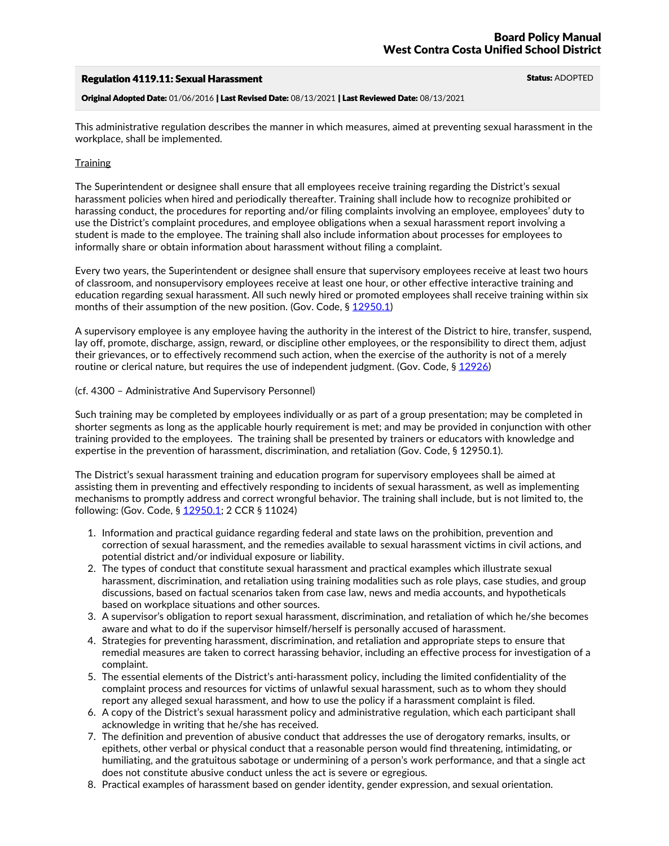## Regulation 4119.11: Sexual Harassment Status: ADOPTED

Original Adopted Date: 01/06/2016 | Last Revised Date: 08/13/2021 | Last Reviewed Date: 08/13/2021

This administrative regulation describes the manner in which measures, aimed at preventing sexual harassment in the workplace, shall be implemented.

## **Training**

The Superintendent or designee shall ensure that all employees receive training regarding the District's sexual harassment policies when hired and periodically thereafter. Training shall include how to recognize prohibited or harassing conduct, the procedures for reporting and/or filing complaints involving an employee, employees' duty to use the District's complaint procedures, and employee obligations when a sexual harassment report involving a student is made to the employee. The training shall also include information about processes for employees to informally share or obtain information about harassment without filing a complaint.

Every two years, the Superintendent or designee shall ensure that supervisory employees receive at least two hours of classroom, and nonsupervisory employees receive at least one hour, or other effective interactive training and education regarding sexual harassment. All such newly hired or promoted employees shall receive training within six months of their assumption of the new position. (Gov. Code, § 12950.1)

A supervisory employee is any employee having the authority in the interest of the District to hire, transfer, suspend, lay off, promote, discharge, assign, reward, or discipline other employees, or the responsibility to direct them, adjust their grievances, or to effectively recommend such action, when the exercise of the authority is not of a merely routine or clerical nature, but requires the use of independent judgment. (Gov. Code, § 12926)

## (cf. 4300 – Administrative And Supervisory Personnel)

Such training may be completed by employees individually or as part of a group presentation; may be completed in shorter segments as long as the applicable hourly requirement is met; and may be provided in conjunction with other training provided to the employees. The training shall be presented by trainers or educators with knowledge and expertise in the prevention of harassment, discrimination, and retaliation (Gov. Code, § 12950.1).

The District's sexual harassment training and education program for supervisory employees shall be aimed at assisting them in preventing and effectively responding to incidents of sexual harassment, as well as implementing mechanisms to promptly address and correct wrongful behavior. The training shall include, but is not limited to, the following: (Gov. Code, § 12950.1; 2 CCR § 11024)

- 1. Information and practical guidance regarding federal and state laws on the prohibition, prevention and correction of sexual harassment, and the remedies available to sexual harassment victims in civil actions, and potential district and/or individual exposure or liability. 2. The types of conduct that constitute sexual harassment and practical examples which illustrate sexual
- harassment, discrimination, and retaliation using training modalities such as role plays, case studies, and group discussions, based on factual scenarios taken from case law, news and media accounts, and hypotheticals
- based on workplace situations and other sources. 3. <sup>A</sup> supervisor's obligation to report sexual harassment, discrimination, and retaliation of which he/she becomes aware and what to do if the supervisor himself/herself is personally accused of harassment.
- 4. Strategies for preventing harassment, discrimination, and retaliation and appropriate steps to ensure that remedial measures are taken to correct harassing behavior, including an effective process for investigation of a complaint.
- 5. The essential elements of the District's anti-harassment policy, including the limited confidentiality of the complaint process and resources for victims of unlawful sexual harassment, such as to whom they should report any alleged sexual harassment, and how to use the policy if a harassment complaint is filed.
- 6. A copy of the District's sexual harassment policy and administrative regulation, which each participant shall acknowledge in writing that he/she has received.
- 7. The definition and prevention of abusive conduct that addresses the use of derogatory remarks, insults, or epithets, other verbal or physical conduct that a reasonable person would find threatening, intimidating, or humiliating, and the gratuitous sabotage or undermining of a person's work performance, and that a single act does not constitute abusive conduct unless the act is severe or egregious.
- 8. Practical examples of harassment based on gender identity, gender expression, and sexual orientation.